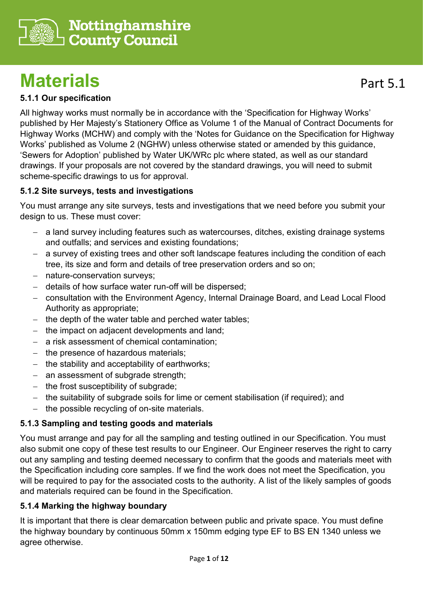

# **Materials**

## **5.1.1 Our specification**

All highway works must normally be in accordance with the 'Specification for Highway Works' published by Her Majesty's Stationery Office as Volume 1 of the Manual of Contract Documents for Highway Works (MCHW) and comply with the 'Notes for Guidance on the Specification for Highway Works' published as Volume 2 (NGHW) unless otherwise stated or amended by this guidance, 'Sewers for Adoption' published by Water UK/WRc plc where stated, as well as our standard drawings. If your proposals are not covered by the standard drawings, you will need to submit scheme-specific drawings to us for approval.

#### **5.1.2 Site surveys, tests and investigations**

You must arrange any site surveys, tests and investigations that we need before you submit your design to us. These must cover:

- − a land survey including features such as watercourses, ditches, existing drainage systems and outfalls; and services and existing foundations;
- a survey of existing trees and other soft landscape features including the condition of each tree, its size and form and details of tree preservation orders and so on;
- − nature-conservation surveys;
- − details of how surface water run-off will be dispersed;
- − consultation with the Environment Agency, Internal Drainage Board, and Lead Local Flood Authority as appropriate;
- the depth of the water table and perched water tables;
- the impact on adjacent developments and land;
- a risk assessment of chemical contamination:
- the presence of hazardous materials;
- − the stability and acceptability of earthworks;
- an assessment of subgrade strength;
- − the frost susceptibility of subgrade;
- − the suitability of subgrade soils for lime or cement stabilisation (if required); and
- the possible recycling of on-site materials.

## **5.1.3 Sampling and testing goods and materials**

You must arrange and pay for all the sampling and testing outlined in our Specification. You must also submit one copy of these test results to our Engineer. Our Engineer reserves the right to carry out any sampling and testing deemed necessary to confirm that the goods and materials meet with the Specification including core samples. If we find the work does not meet the Specification, you will be required to pay for the associated costs to the authority. A list of the likely samples of goods and materials required can be found in the Specification.

#### **5.1.4 Marking the highway boundary**

It is important that there is clear demarcation between public and private space. You must define the highway boundary by continuous 50mm x 150mm edging type EF to BS EN 1340 unless we agree otherwise.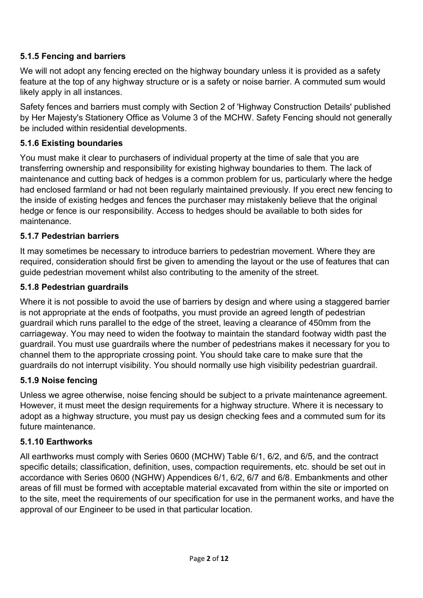## **5.1.5 Fencing and barriers**

We will not adopt any fencing erected on the highway boundary unless it is provided as a safety feature at the top of any highway structure or is a safety or noise barrier. A commuted sum would likely apply in all instances.

Safety fences and barriers must comply with Section 2 of 'Highway Construction Details' published by Her Majesty's Stationery Office as Volume 3 of the MCHW. Safety Fencing should not generally be included within residential developments.

#### **5.1.6 Existing boundaries**

You must make it clear to purchasers of individual property at the time of sale that you are transferring ownership and responsibility for existing highway boundaries to them. The lack of maintenance and cutting back of hedges is a common problem for us, particularly where the hedge had enclosed farmland or had not been regularly maintained previously. If you erect new fencing to the inside of existing hedges and fences the purchaser may mistakenly believe that the original hedge or fence is our responsibility. Access to hedges should be available to both sides for maintenance.

#### **5.1.7 Pedestrian barriers**

It may sometimes be necessary to introduce barriers to pedestrian movement. Where they are required, consideration should first be given to amending the layout or the use of features that can guide pedestrian movement whilst also contributing to the amenity of the street.

#### **5.1.8 Pedestrian guardrails**

Where it is not possible to avoid the use of barriers by design and where using a staggered barrier is not appropriate at the ends of footpaths, you must provide an agreed length of pedestrian guardrail which runs parallel to the edge of the street, leaving a clearance of 450mm from the carriageway. You may need to widen the footway to maintain the standard footway width past the guardrail. You must use guardrails where the number of pedestrians makes it necessary for you to channel them to the appropriate crossing point. You should take care to make sure that the guardrails do not interrupt visibility. You should normally use high visibility pedestrian guardrail.

#### **5.1.9 Noise fencing**

Unless we agree otherwise, noise fencing should be subject to a private maintenance agreement. However, it must meet the design requirements for a highway structure. Where it is necessary to adopt as a highway structure, you must pay us design checking fees and a commuted sum for its future maintenance.

#### **5.1.10 Earthworks**

All earthworks must comply with Series 0600 (MCHW) Table 6/1, 6/2, and 6/5, and the contract specific details; classification, definition, uses, compaction requirements, etc. should be set out in accordance with Series 0600 (NGHW) Appendices 6/1, 6/2, 6/7 and 6/8. Embankments and other areas of fill must be formed with acceptable material excavated from within the site or imported on to the site, meet the requirements of our specification for use in the permanent works, and have the approval of our Engineer to be used in that particular location.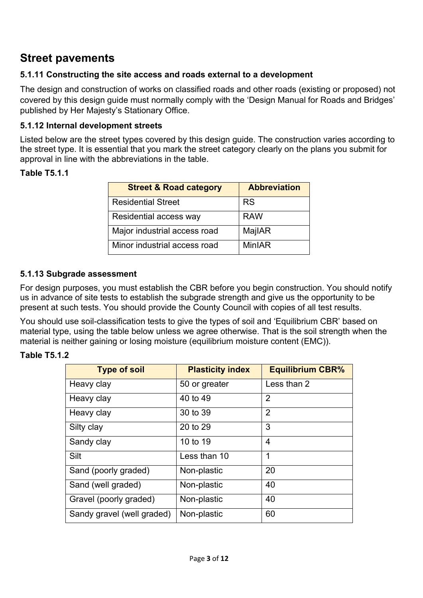## **Street pavements**

#### **5.1.11 Constructing the site access and roads external to a development**

The design and construction of works on classified roads and other roads (existing or proposed) not covered by this design guide must normally comply with the 'Design Manual for Roads and Bridges' published by Her Majesty's Stationary Office.

#### **5.1.12 Internal development streets**

Listed below are the street types covered by this design guide. The construction varies according to the street type. It is essential that you mark the street category clearly on the plans you submit for approval in line with the abbreviations in the table.

#### **Table T5.1.1**

| <b>Street &amp; Road category</b> | <b>Abbreviation</b> |
|-----------------------------------|---------------------|
| <b>Residential Street</b>         | <b>RS</b>           |
| Residential access way            | <b>RAW</b>          |
| Major industrial access road      | MajlAR              |
| Minor industrial access road      | MinIAR              |

#### **5.1.13 Subgrade assessment**

For design purposes, you must establish the CBR before you begin construction. You should notify us in advance of site tests to establish the subgrade strength and give us the opportunity to be present at such tests. You should provide the County Council with copies of all test results.

You should use soil-classification tests to give the types of soil and 'Equilibrium CBR' based on material type, using the table below unless we agree otherwise. That is the soil strength when the material is neither gaining or losing moisture (equilibrium moisture content (EMC)).

#### **Table T5.1.2**

| <b>Type of soil</b>        | <b>Plasticity index</b> | <b>Equilibrium CBR%</b> |
|----------------------------|-------------------------|-------------------------|
| Heavy clay                 | 50 or greater           | Less than 2             |
| Heavy clay                 | 40 to 49                | 2                       |
| Heavy clay                 | 30 to 39                | $\overline{2}$          |
| Silty clay                 | 20 to 29                | 3                       |
| Sandy clay                 | 10 to 19                | 4                       |
| Silt                       | Less than 10            | 1                       |
| Sand (poorly graded)       | Non-plastic             | 20                      |
| Sand (well graded)         | Non-plastic             | 40                      |
| Gravel (poorly graded)     | Non-plastic             | 40                      |
| Sandy gravel (well graded) | Non-plastic             | 60                      |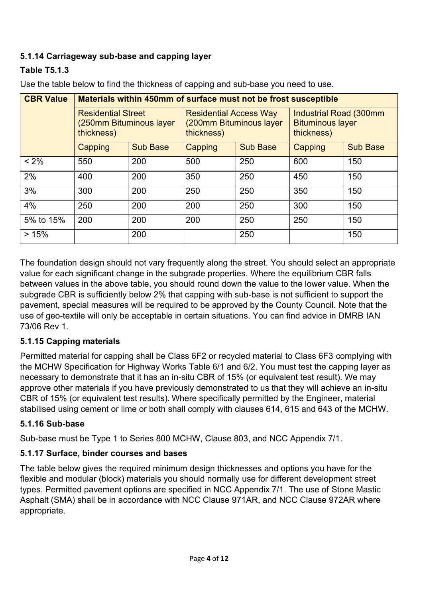## **5.1.14 Carriageway sub-base and capping layer**

## **Table T5.1.3**

| <b>CBR Value</b> | Materials within 450mm of surface must not be frost susceptible    |                 |                                                                        |                 |                                                                 |                 |  |
|------------------|--------------------------------------------------------------------|-----------------|------------------------------------------------------------------------|-----------------|-----------------------------------------------------------------|-----------------|--|
|                  | <b>Residential Street</b><br>(250mm Bituminous layer<br>thickness) |                 | <b>Residential Access Way</b><br>(200mm Bituminous layer<br>thickness) |                 | Industrial Road (300mm<br><b>Bituminous layer</b><br>thickness) |                 |  |
|                  | Capping                                                            | <b>Sub Base</b> | Capping                                                                | <b>Sub Base</b> | Capping                                                         | <b>Sub Base</b> |  |
| $< 2\%$          | 550                                                                | 200             | 500                                                                    | 250             | 600                                                             | 150             |  |
| 2%               | 400                                                                | 200             | 350                                                                    | 250             | 450                                                             | 150             |  |
| 3%               | 300                                                                | 200             | 250                                                                    | 250             | 350                                                             | 150             |  |
| 4%               | 250                                                                | 200             | 200                                                                    | 250             | 300                                                             | 150             |  |
| 5% to 15%        | 200                                                                | 200             | 200                                                                    | 250             | 250                                                             | 150             |  |
| >15%             |                                                                    | 200             |                                                                        | 250             |                                                                 | 150             |  |

Use the table below to find the thickness of capping and sub-base you need to use.

The foundation design should not vary frequently along the street. You should select an appropriate value for each significant change in the subgrade properties. Where the equilibrium CBR falls between values in the above table, you should round down the value to the lower value. When the subgrade CBR is sufficiently below 2% that capping with sub-base is not sufficient to support the pavement, special measures will be required to be approved by the County Council. Note that the use of geo-textile will only be acceptable in certain situations. You can find advice in DMRB IAN 73/06 Rev 1.

## **5.1.15 Capping materials**

Permitted material for capping shall be Class 6F2 or recycled material to Class 6F3 complying with the MCHW Specification for Highway Works Table 6/1 and 6/2. You must test the capping layer as necessary to demonstrate that it has an in-situ CBR of 15% (or equivalent test result). We may approve other materials if you have previously demonstrated to us that they will achieve an in-situ CBR of 15% (or equivalent test results). Where specifically permitted by the Engineer, material stabilised using cement or lime or both shall comply with clauses 614, 615 and 643 of the MCHW.

#### **5.1.16 Sub-base**

Sub-base must be Type 1 to Series 800 MCHW, Clause 803, and NCC Appendix 7/1.

#### **5.1.17 Surface, binder courses and bases**

The table below gives the required minimum design thicknesses and options you have for the flexible and modular (block) materials you should normally use for different development street types. Permitted pavement options are specified in NCC Appendix 7/1. The use of Stone Mastic Asphalt (SMA) shall be in accordance with NCC Clause 971AR, and NCC Clause 972AR where appropriate.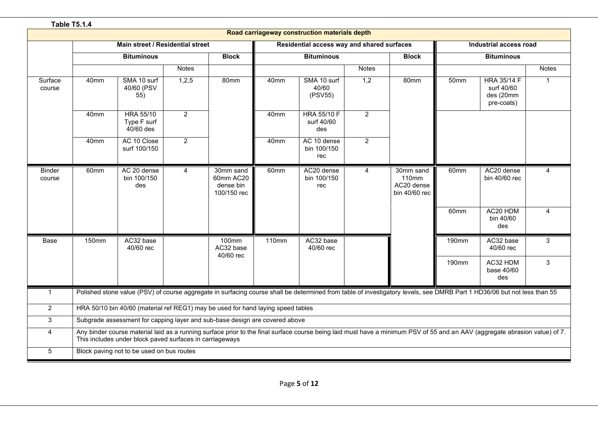|                         | <b>Table T5.1.4</b> |                                                          |                |                                                                                  |                                            |                                                                                                                                                                             |              |                                                   |                  |                                                             |                         |
|-------------------------|---------------------|----------------------------------------------------------|----------------|----------------------------------------------------------------------------------|--------------------------------------------|-----------------------------------------------------------------------------------------------------------------------------------------------------------------------------|--------------|---------------------------------------------------|------------------|-------------------------------------------------------------|-------------------------|
|                         |                     |                                                          |                |                                                                                  |                                            | Road carriageway construction materials depth                                                                                                                               |              |                                                   |                  |                                                             |                         |
|                         |                     | Main street / Residential street                         |                |                                                                                  | Residential access way and shared surfaces |                                                                                                                                                                             |              |                                                   |                  | Industrial access road                                      |                         |
|                         |                     | <b>Bituminous</b>                                        |                | <b>Block</b>                                                                     |                                            | <b>Bituminous</b>                                                                                                                                                           |              | <b>Block</b>                                      |                  | <b>Bituminous</b>                                           |                         |
|                         |                     |                                                          | <b>Notes</b>   |                                                                                  |                                            |                                                                                                                                                                             | <b>Notes</b> |                                                   |                  |                                                             | <b>Notes</b>            |
| Surface<br>course       | 40mm                | SMA 10 surf<br>40/60 (PSV<br>55)                         | 1,2,5          | 80mm                                                                             | 40mm                                       | SMA 10 surf<br>40/60<br>(PSV55)                                                                                                                                             | 1,2          | 80mm                                              | 50 <sub>mm</sub> | <b>HRA 35/14 F</b><br>surf 40/60<br>des (20mm<br>pre-coats) | $\mathbf{1}$            |
|                         | 40mm                | <b>HRA 55/10</b><br>Type F surf<br>$40/60$ des           | $2^{\circ}$    |                                                                                  | 40mm                                       | <b>HRA 55/10 F</b><br>surf 40/60<br>des                                                                                                                                     | 2            |                                                   |                  |                                                             |                         |
|                         | 40mm                | AC 10 Close<br>surf 100/150                              | $\overline{2}$ |                                                                                  | 40mm                                       | AC 10 dense<br>bin 100/150<br>rec                                                                                                                                           | 2            |                                                   |                  |                                                             |                         |
| <b>Binder</b><br>course | 60mm                | AC 20 dense<br>bin 100/150<br>des                        | 4              | 30mm sand<br>60mm AC20<br>dense bin<br>100/150 rec                               | 60mm                                       | AC20 dense<br>bin 100/150<br>rec                                                                                                                                            | 4            | 30mm sand<br>110mm<br>AC20 dense<br>bin 40/60 rec | 60mm             | AC20 dense<br>bin 40/60 rec                                 | 4                       |
|                         |                     |                                                          |                |                                                                                  |                                            |                                                                                                                                                                             |              |                                                   | 60mm             | AC20 HDM<br>bin 40/60<br>des                                | $\overline{\mathbf{A}}$ |
| Base                    | 150mm               | AC32 base<br>40/60 rec                                   |                | $100$ mm<br>AC32 base<br>40/60 rec                                               | 110mm                                      | AC32 base<br>40/60 rec                                                                                                                                                      |              |                                                   | 190mm            | AC32 base<br>40/60 rec                                      | 3                       |
|                         |                     |                                                          |                |                                                                                  |                                            |                                                                                                                                                                             |              |                                                   | 190mm            | AC32 HDM<br>base 40/60<br>des                               | 3                       |
| $\mathbf{1}$            |                     |                                                          |                |                                                                                  |                                            | Polished stone value (PSV) of course aggregate in surfacing course shall be determined from table of investigatory levels, see DMRB Part 1 HD36/06 but not less than 55     |              |                                                   |                  |                                                             |                         |
| $\overline{2}$          |                     |                                                          |                | HRA 50/10 bin 40/60 (material ref REG1) may be used for hand laying speed tables |                                            |                                                                                                                                                                             |              |                                                   |                  |                                                             |                         |
| 3                       |                     |                                                          |                | Subgrade assessment for capping layer and sub-base design are covered above      |                                            |                                                                                                                                                                             |              |                                                   |                  |                                                             |                         |
| 4                       |                     | This includes under block paved surfaces in carriageways |                |                                                                                  |                                            | Any binder course material laid as a running surface prior to the final surface course being laid must have a minimum PSV of 55 and an AAV (aggregate abrasion value) of 7. |              |                                                   |                  |                                                             |                         |
| 5                       |                     | Block paving not to be used on bus routes                |                |                                                                                  |                                            |                                                                                                                                                                             |              |                                                   |                  |                                                             |                         |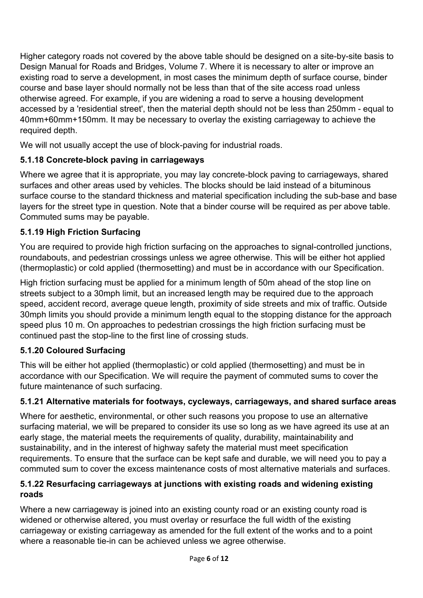Higher category roads not covered by the above table should be designed on a site-by-site basis to Design Manual for Roads and Bridges, Volume 7. Where it is necessary to alter or improve an existing road to serve a development, in most cases the minimum depth of surface course, binder course and base layer should normally not be less than that of the site access road unless otherwise agreed. For example, if you are widening a road to serve a housing development accessed by a 'residential street', then the material depth should not be less than 250mm - equal to 40mm+60mm+150mm. It may be necessary to overlay the existing carriageway to achieve the required depth.

We will not usually accept the use of block-paving for industrial roads.

## **5.1.18 Concrete-block paving in carriageways**

Where we agree that it is appropriate, you may lay concrete-block paving to carriageways, shared surfaces and other areas used by vehicles. The blocks should be laid instead of a bituminous surface course to the standard thickness and material specification including the sub-base and base layers for the street type in question. Note that a binder course will be required as per above table. Commuted sums may be payable.

## **5.1.19 High Friction Surfacing**

You are required to provide high friction surfacing on the approaches to signal-controlled junctions, roundabouts, and pedestrian crossings unless we agree otherwise. This will be either hot applied (thermoplastic) or cold applied (thermosetting) and must be in accordance with our Specification.

High friction surfacing must be applied for a minimum length of 50m ahead of the stop line on streets subject to a 30mph limit, but an increased length may be required due to the approach speed, accident record, average queue length, proximity of side streets and mix of traffic. Outside 30mph limits you should provide a minimum length equal to the stopping distance for the approach speed plus 10 m. On approaches to pedestrian crossings the high friction surfacing must be continued past the stop-line to the first line of crossing studs.

## **5.1.20 Coloured Surfacing**

This will be either hot applied (thermoplastic) or cold applied (thermosetting) and must be in accordance with our Specification. We will require the payment of commuted sums to cover the future maintenance of such surfacing.

## **5.1.21 Alternative materials for footways, cycleways, carriageways, and shared surface areas**

Where for aesthetic, environmental, or other such reasons you propose to use an alternative surfacing material, we will be prepared to consider its use so long as we have agreed its use at an early stage, the material meets the requirements of quality, durability, maintainability and sustainability, and in the interest of highway safety the material must meet specification requirements. To ensure that the surface can be kept safe and durable, we will need you to pay a commuted sum to cover the excess maintenance costs of most alternative materials and surfaces.

## **5.1.22 Resurfacing carriageways at junctions with existing roads and widening existing roads**

Where a new carriageway is joined into an existing county road or an existing county road is widened or otherwise altered, you must overlay or resurface the full width of the existing carriageway or existing carriageway as amended for the full extent of the works and to a point where a reasonable tie-in can be achieved unless we agree otherwise.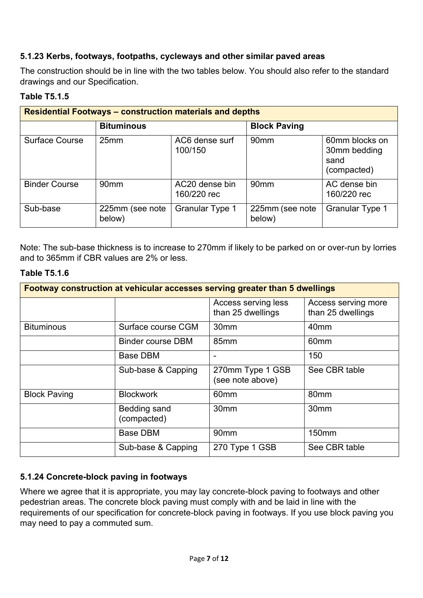## **5.1.23 Kerbs, footways, footpaths, cycleways and other similar paved areas**

The construction should be in line with the two tables below. You should also refer to the standard drawings and our Specification.

## **Table T5.1.5**

| <b>Residential Footways - construction materials and depths</b> |                           |                               |                           |                                                       |  |  |
|-----------------------------------------------------------------|---------------------------|-------------------------------|---------------------------|-------------------------------------------------------|--|--|
|                                                                 | <b>Bituminous</b>         |                               | <b>Block Paving</b>       |                                                       |  |  |
| Surface Course                                                  | 25mm                      | AC6 dense surf<br>100/150     | 90 <sub>mm</sub>          | 60mm blocks on<br>30mm bedding<br>sand<br>(compacted) |  |  |
| <b>Binder Course</b>                                            | 90 <sub>mm</sub>          | AC20 dense bin<br>160/220 rec | 90 <sub>mm</sub>          | AC dense bin<br>160/220 rec                           |  |  |
| Sub-base                                                        | 225mm (see note<br>below) | <b>Granular Type 1</b>        | 225mm (see note<br>below) | <b>Granular Type 1</b>                                |  |  |

Note: The sub-base thickness is to increase to 270mm if likely to be parked on or over-run by lorries and to 365mm if CBR values are 2% or less.

#### **Table T5.1.6**

| Footway construction at vehicular accesses serving greater than 5 dwellings |                             |                                          |                                          |  |  |
|-----------------------------------------------------------------------------|-----------------------------|------------------------------------------|------------------------------------------|--|--|
|                                                                             |                             | Access serving less<br>than 25 dwellings | Access serving more<br>than 25 dwellings |  |  |
| <b>Bituminous</b>                                                           | Surface course CGM          | 30 <sub>mm</sub>                         | 40mm                                     |  |  |
|                                                                             | <b>Binder course DBM</b>    | 85mm                                     | 60 <sub>mm</sub>                         |  |  |
|                                                                             | Base DBM                    | $\overline{\phantom{a}}$                 | 150                                      |  |  |
|                                                                             | Sub-base & Capping          | 270mm Type 1 GSB<br>(see note above)     | See CBR table                            |  |  |
| <b>Block Paving</b>                                                         | <b>Blockwork</b>            | 60mm                                     | 80mm                                     |  |  |
|                                                                             | Bedding sand<br>(compacted) | 30 <sub>mm</sub>                         | 30mm                                     |  |  |
|                                                                             | <b>Base DBM</b>             | 90 <sub>mm</sub>                         | 150mm                                    |  |  |
|                                                                             | Sub-base & Capping          | 270 Type 1 GSB                           | See CBR table                            |  |  |

#### **5.1.24 Concrete-block paving in footways**

Where we agree that it is appropriate, you may lay concrete-block paving to footways and other pedestrian areas. The concrete block paving must comply with and be laid in line with the requirements of our specification for concrete-block paving in footways. If you use block paving you may need to pay a commuted sum.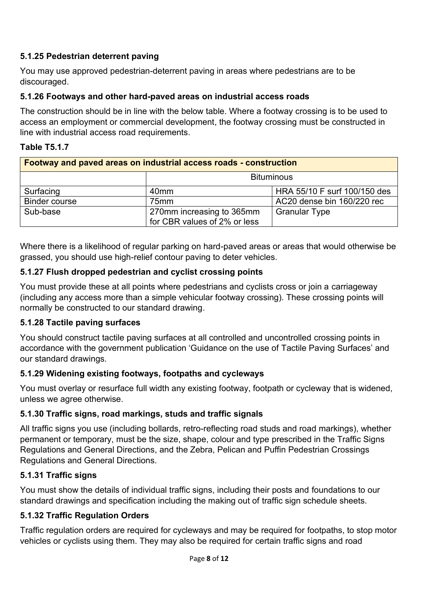## **5.1.25 Pedestrian deterrent paving**

You may use approved pedestrian-deterrent paving in areas where pedestrians are to be discouraged.

#### **5.1.26 Footways and other hard-paved areas on industrial access roads**

The construction should be in line with the below table. Where a footway crossing is to be used to access an employment or commercial development, the footway crossing must be constructed in line with industrial access road requirements.

#### **Table T5.1.7**

| <b>Footway and paved areas on industrial access roads - construction</b> |                                                           |                              |  |  |  |
|--------------------------------------------------------------------------|-----------------------------------------------------------|------------------------------|--|--|--|
|                                                                          | <b>Bituminous</b>                                         |                              |  |  |  |
| Surfacing                                                                | 40 <sub>mm</sub>                                          | HRA 55/10 F surf 100/150 des |  |  |  |
| <b>Binder course</b>                                                     | 75mm                                                      | AC20 dense bin 160/220 rec   |  |  |  |
| Sub-base                                                                 | 270mm increasing to 365mm<br>for CBR values of 2% or less | <b>Granular Type</b>         |  |  |  |

Where there is a likelihood of regular parking on hard-paved areas or areas that would otherwise be grassed, you should use high-relief contour paving to deter vehicles.

#### **5.1.27 Flush dropped pedestrian and cyclist crossing points**

You must provide these at all points where pedestrians and cyclists cross or join a carriageway (including any access more than a simple vehicular footway crossing). These crossing points will normally be constructed to our standard drawing.

#### **5.1.28 Tactile paving surfaces**

You should construct tactile paving surfaces at all controlled and uncontrolled crossing points in accordance with the government publication 'Guidance on the use of Tactile Paving Surfaces' and our standard drawings.

#### **5.1.29 Widening existing footways, footpaths and cycleways**

You must overlay or resurface full width any existing footway, footpath or cycleway that is widened, unless we agree otherwise.

#### **5.1.30 Traffic signs, road markings, studs and traffic signals**

All traffic signs you use (including bollards, retro-reflecting road studs and road markings), whether permanent or temporary, must be the size, shape, colour and type prescribed in the Traffic Signs Regulations and General Directions, and the Zebra, Pelican and Puffin Pedestrian Crossings Regulations and General Directions.

#### **5.1.31 Traffic signs**

You must show the details of individual traffic signs, including their posts and foundations to our standard drawings and specification including the making out of traffic sign schedule sheets.

#### **5.1.32 Traffic Regulation Orders**

Traffic regulation orders are required for cycleways and may be required for footpaths, to stop motor vehicles or cyclists using them. They may also be required for certain traffic signs and road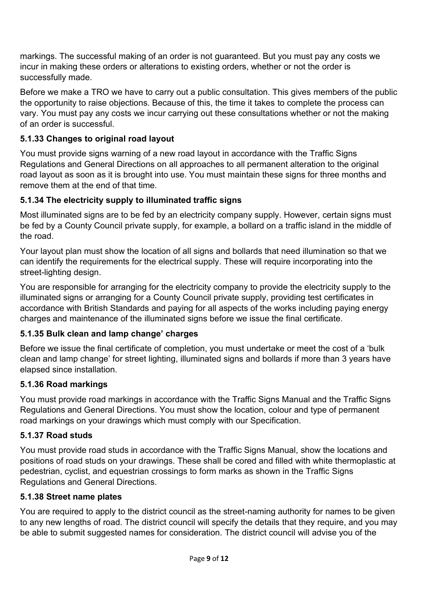markings. The successful making of an order is not guaranteed. But you must pay any costs we incur in making these orders or alterations to existing orders, whether or not the order is successfully made.

Before we make a TRO we have to carry out a public consultation. This gives members of the public the opportunity to raise objections. Because of this, the time it takes to complete the process can vary. You must pay any costs we incur carrying out these consultations whether or not the making of an order is successful.

## **5.1.33 Changes to original road layout**

You must provide signs warning of a new road layout in accordance with the Traffic Signs Regulations and General Directions on all approaches to all permanent alteration to the original road layout as soon as it is brought into use. You must maintain these signs for three months and remove them at the end of that time.

## **5.1.34 The electricity supply to illuminated traffic signs**

Most illuminated signs are to be fed by an electricity company supply. However, certain signs must be fed by a County Council private supply, for example, a bollard on a traffic island in the middle of the road.

Your layout plan must show the location of all signs and bollards that need illumination so that we can identify the requirements for the electrical supply. These will require incorporating into the street-lighting design.

You are responsible for arranging for the electricity company to provide the electricity supply to the illuminated signs or arranging for a County Council private supply, providing test certificates in accordance with British Standards and paying for all aspects of the works including paying energy charges and maintenance of the illuminated signs before we issue the final certificate.

## **5.1.35 Bulk clean and lamp change' charges**

Before we issue the final certificate of completion, you must undertake or meet the cost of a 'bulk clean and lamp change' for street lighting, illuminated signs and bollards if more than 3 years have elapsed since installation.

#### **5.1.36 Road markings**

You must provide road markings in accordance with the Traffic Signs Manual and the Traffic Signs Regulations and General Directions. You must show the location, colour and type of permanent road markings on your drawings which must comply with our Specification.

#### **5.1.37 Road studs**

You must provide road studs in accordance with the Traffic Signs Manual, show the locations and positions of road studs on your drawings. These shall be cored and filled with white thermoplastic at pedestrian, cyclist, and equestrian crossings to form marks as shown in the Traffic Signs Regulations and General Directions.

#### **5.1.38 Street name plates**

You are required to apply to the district council as the street-naming authority for names to be given to any new lengths of road. The district council will specify the details that they require, and you may be able to submit suggested names for consideration. The district council will advise you of the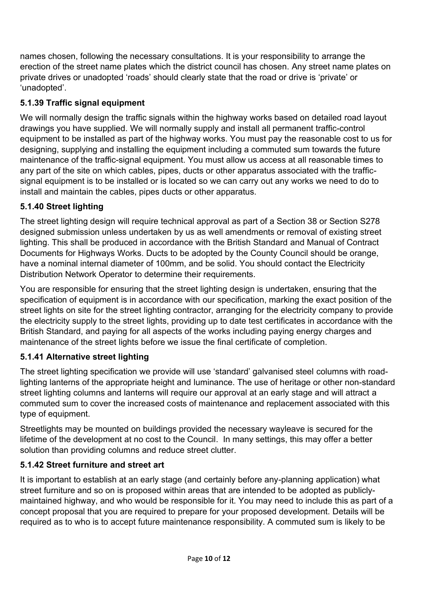names chosen, following the necessary consultations. It is your responsibility to arrange the erection of the street name plates which the district council has chosen. Any street name plates on private drives or unadopted 'roads' should clearly state that the road or drive is 'private' or 'unadopted'.

## **5.1.39 Traffic signal equipment**

We will normally design the traffic signals within the highway works based on detailed road layout drawings you have supplied. We will normally supply and install all permanent traffic-control equipment to be installed as part of the highway works. You must pay the reasonable cost to us for designing, supplying and installing the equipment including a commuted sum towards the future maintenance of the traffic-signal equipment. You must allow us access at all reasonable times to any part of the site on which cables, pipes, ducts or other apparatus associated with the trafficsignal equipment is to be installed or is located so we can carry out any works we need to do to install and maintain the cables, pipes ducts or other apparatus.

## **5.1.40 Street lighting**

The street lighting design will require technical approval as part of a Section 38 or Section S278 designed submission unless undertaken by us as well amendments or removal of existing street lighting. This shall be produced in accordance with the British Standard and Manual of Contract Documents for Highways Works. Ducts to be adopted by the County Council should be orange, have a nominal internal diameter of 100mm, and be solid. You should contact the Electricity Distribution Network Operator to determine their requirements.

You are responsible for ensuring that the street lighting design is undertaken, ensuring that the specification of equipment is in accordance with our specification, marking the exact position of the street lights on site for the street lighting contractor, arranging for the electricity company to provide the electricity supply to the street lights, providing up to date test certificates in accordance with the British Standard, and paying for all aspects of the works including paying energy charges and maintenance of the street lights before we issue the final certificate of completion.

## **5.1.41 Alternative street lighting**

The street lighting specification we provide will use 'standard' galvanised steel columns with roadlighting lanterns of the appropriate height and luminance. The use of heritage or other non-standard street lighting columns and lanterns will require our approval at an early stage and will attract a commuted sum to cover the increased costs of maintenance and replacement associated with this type of equipment.

Streetlights may be mounted on buildings provided the necessary wayleave is secured for the lifetime of the development at no cost to the Council. In many settings, this may offer a better solution than providing columns and reduce street clutter.

## **5.1.42 Street furniture and street art**

It is important to establish at an early stage (and certainly before any-planning application) what street furniture and so on is proposed within areas that are intended to be adopted as publiclymaintained highway, and who would be responsible for it. You may need to include this as part of a concept proposal that you are required to prepare for your proposed development. Details will be required as to who is to accept future maintenance responsibility. A commuted sum is likely to be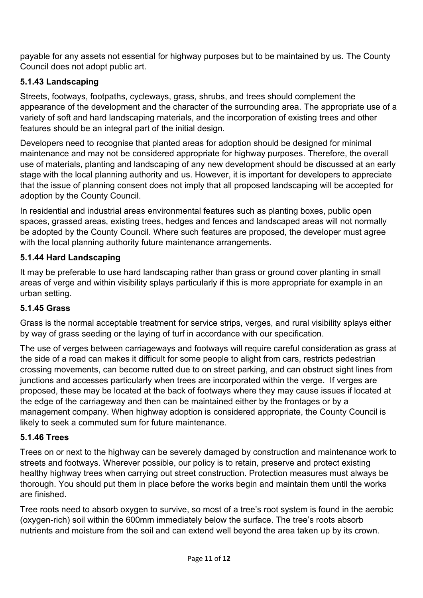payable for any assets not essential for highway purposes but to be maintained by us. The County Council does not adopt public art.

## **5.1.43 Landscaping**

Streets, footways, footpaths, cycleways, grass, shrubs, and trees should complement the appearance of the development and the character of the surrounding area. The appropriate use of a variety of soft and hard landscaping materials, and the incorporation of existing trees and other features should be an integral part of the initial design.

Developers need to recognise that planted areas for adoption should be designed for minimal maintenance and may not be considered appropriate for highway purposes. Therefore, the overall use of materials, planting and landscaping of any new development should be discussed at an early stage with the local planning authority and us. However, it is important for developers to appreciate that the issue of planning consent does not imply that all proposed landscaping will be accepted for adoption by the County Council.

In residential and industrial areas environmental features such as planting boxes, public open spaces, grassed areas, existing trees, hedges and fences and landscaped areas will not normally be adopted by the County Council. Where such features are proposed, the developer must agree with the local planning authority future maintenance arrangements.

## **5.1.44 Hard Landscaping**

It may be preferable to use hard landscaping rather than grass or ground cover planting in small areas of verge and within visibility splays particularly if this is more appropriate for example in an urban setting.

#### **5.1.45 Grass**

Grass is the normal acceptable treatment for service strips, verges, and rural visibility splays either by way of grass seeding or the laying of turf in accordance with our specification.

The use of verges between carriageways and footways will require careful consideration as grass at the side of a road can makes it difficult for some people to alight from cars, restricts pedestrian crossing movements, can become rutted due to on street parking, and can obstruct sight lines from junctions and accesses particularly when trees are incorporated within the verge. If verges are proposed, these may be located at the back of footways where they may cause issues if located at the edge of the carriageway and then can be maintained either by the frontages or by a management company. When highway adoption is considered appropriate, the County Council is likely to seek a commuted sum for future maintenance.

#### **5.1.46 Trees**

Trees on or next to the highway can be severely damaged by construction and maintenance work to streets and footways. Wherever possible, our policy is to retain, preserve and protect existing healthy highway trees when carrying out street construction. Protection measures must always be thorough. You should put them in place before the works begin and maintain them until the works are finished.

Tree roots need to absorb oxygen to survive, so most of a tree's root system is found in the aerobic (oxygen-rich) soil within the 600mm immediately below the surface. The tree's roots absorb nutrients and moisture from the soil and can extend well beyond the area taken up by its crown.